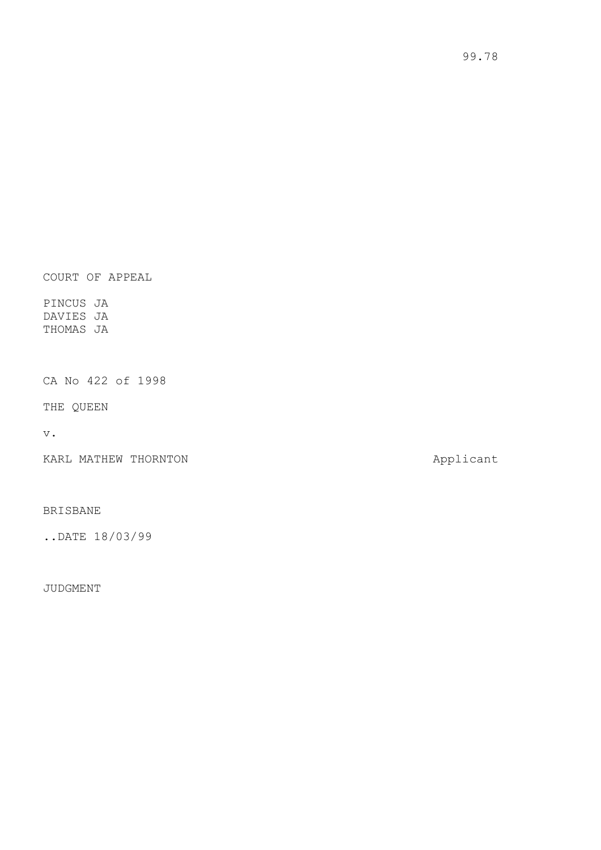COURT OF APPEAL

PINCUS JA DAVIES JA THOMAS JA

CA No 422 of 1998

THE QUEEN

v.

KARL MATHEW THORNTON **Applicant** 

BRISBANE

..DATE 18/03/99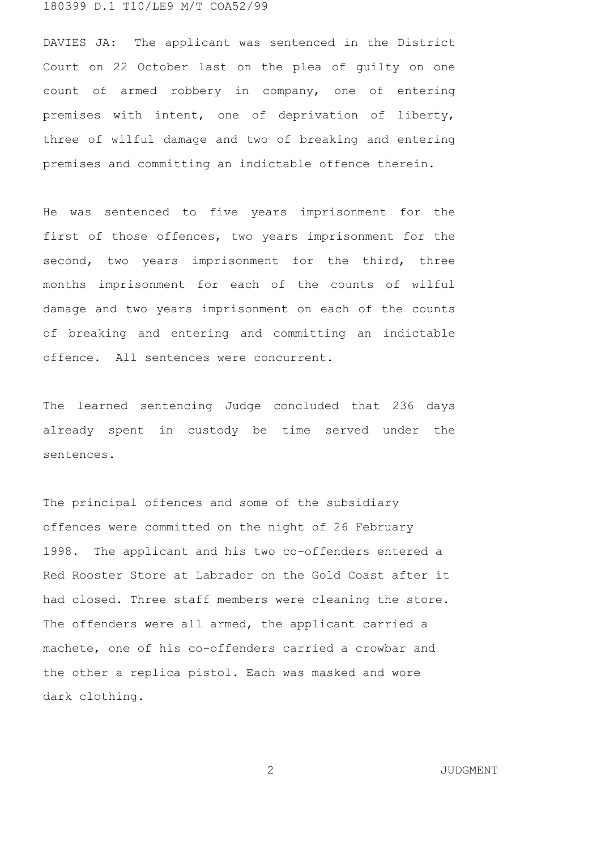DAVIES JA: The applicant was sentenced in the District Court on 22 October last on the plea of guilty on one count of armed robbery in company, one of entering premises with intent, one of deprivation of liberty, three of wilful damage and two of breaking and entering premises and committing an indictable offence therein.

He was sentenced to five years imprisonment for the first of those offences, two years imprisonment for the second, two years imprisonment for the third, three months imprisonment for each of the counts of wilful damage and two years imprisonment on each of the counts of breaking and entering and committing an indictable offence. All sentences were concurrent.

The learned sentencing Judge concluded that 236 days already spent in custody be time served under the sentences.

The principal offences and some of the subsidiary offences were committed on the night of 26 February 1998. The applicant and his two co-offenders entered a Red Rooster Store at Labrador on the Gold Coast after it had closed. Three staff members were cleaning the store. The offenders were all armed, the applicant carried a machete, one of his co-offenders carried a crowbar and the other a replica pistol. Each was masked and wore dark clothing.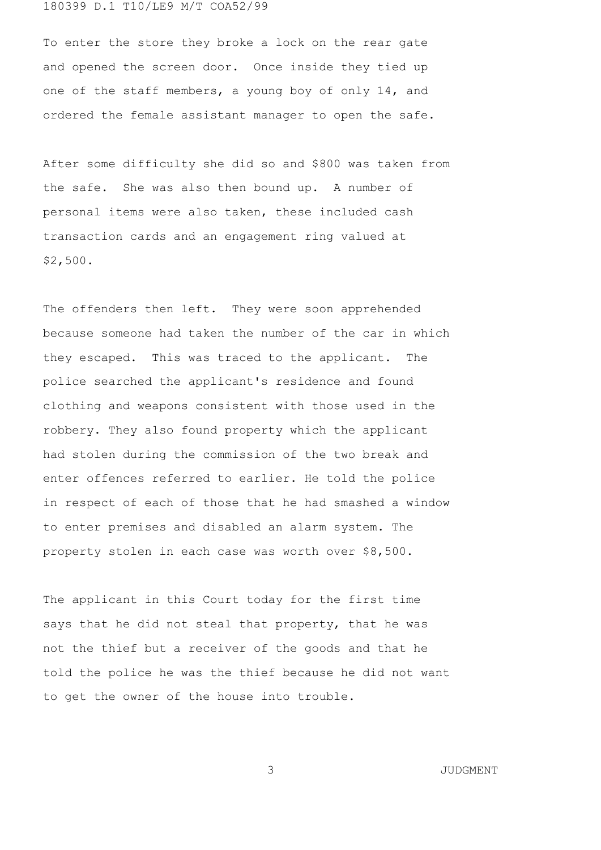To enter the store they broke a lock on the rear gate and opened the screen door. Once inside they tied up one of the staff members, a young boy of only 14, and ordered the female assistant manager to open the safe.

After some difficulty she did so and \$800 was taken from the safe. She was also then bound up. A number of personal items were also taken, these included cash transaction cards and an engagement ring valued at \$2,500.

The offenders then left. They were soon apprehended because someone had taken the number of the car in which they escaped. This was traced to the applicant. The police searched the applicant's residence and found clothing and weapons consistent with those used in the robbery. They also found property which the applicant had stolen during the commission of the two break and enter offences referred to earlier. He told the police in respect of each of those that he had smashed a window to enter premises and disabled an alarm system. The property stolen in each case was worth over \$8,500.

The applicant in this Court today for the first time says that he did not steal that property, that he was not the thief but a receiver of the goods and that he told the police he was the thief because he did not want to get the owner of the house into trouble.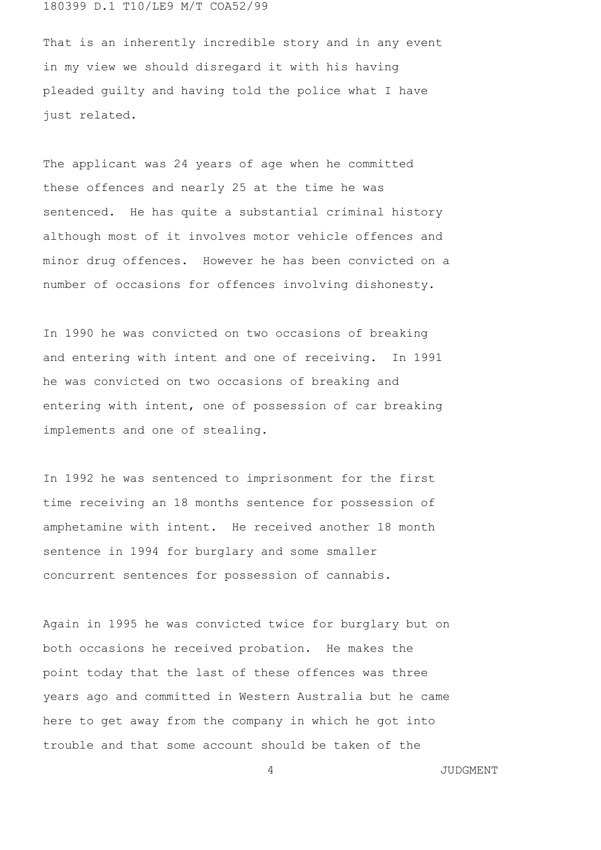That is an inherently incredible story and in any event in my view we should disregard it with his having pleaded guilty and having told the police what I have just related.

The applicant was 24 years of age when he committed these offences and nearly 25 at the time he was sentenced. He has quite a substantial criminal history although most of it involves motor vehicle offences and minor drug offences. However he has been convicted on a number of occasions for offences involving dishonesty.

In 1990 he was convicted on two occasions of breaking and entering with intent and one of receiving. In 1991 he was convicted on two occasions of breaking and entering with intent, one of possession of car breaking implements and one of stealing.

In 1992 he was sentenced to imprisonment for the first time receiving an 18 months sentence for possession of amphetamine with intent. He received another 18 month sentence in 1994 for burglary and some smaller concurrent sentences for possession of cannabis.

Again in 1995 he was convicted twice for burglary but on both occasions he received probation. He makes the point today that the last of these offences was three years ago and committed in Western Australia but he came here to get away from the company in which he got into trouble and that some account should be taken of the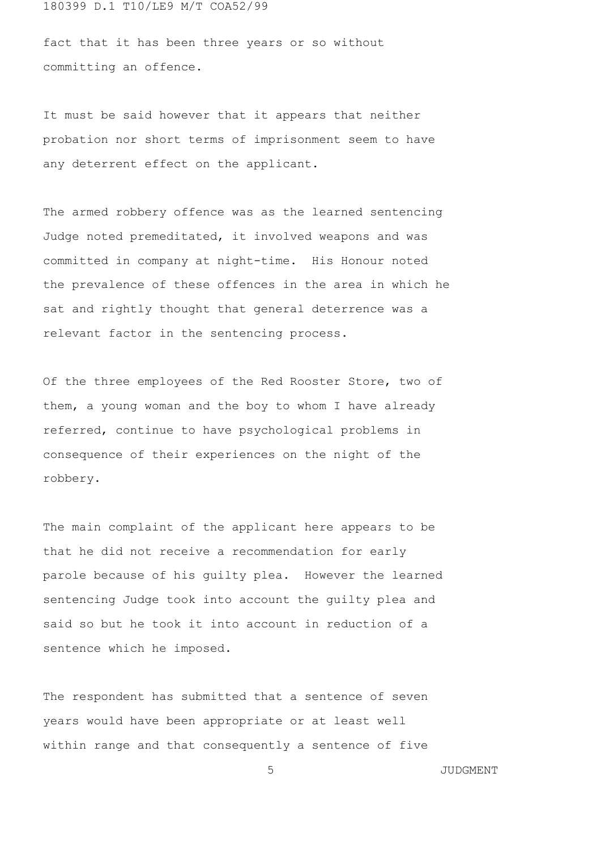fact that it has been three years or so without committing an offence.

It must be said however that it appears that neither probation nor short terms of imprisonment seem to have any deterrent effect on the applicant.

The armed robbery offence was as the learned sentencing Judge noted premeditated, it involved weapons and was committed in company at night-time. His Honour noted the prevalence of these offences in the area in which he sat and rightly thought that general deterrence was a relevant factor in the sentencing process.

Of the three employees of the Red Rooster Store, two of them, a young woman and the boy to whom I have already referred, continue to have psychological problems in consequence of their experiences on the night of the robbery.

The main complaint of the applicant here appears to be that he did not receive a recommendation for early parole because of his guilty plea. However the learned sentencing Judge took into account the guilty plea and said so but he took it into account in reduction of a sentence which he imposed.

The respondent has submitted that a sentence of seven years would have been appropriate or at least well within range and that consequently a sentence of five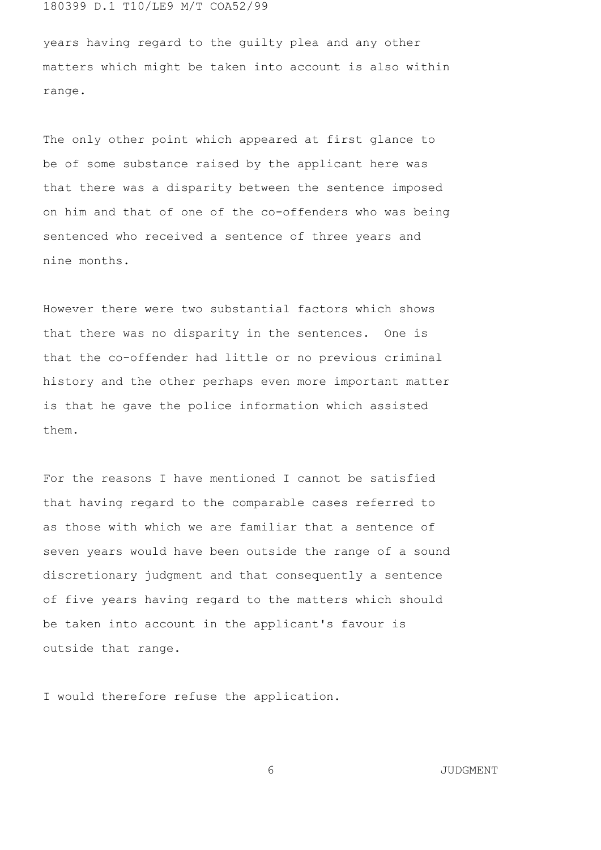years having regard to the guilty plea and any other matters which might be taken into account is also within range.

The only other point which appeared at first glance to be of some substance raised by the applicant here was that there was a disparity between the sentence imposed on him and that of one of the co-offenders who was being sentenced who received a sentence of three years and nine months.

However there were two substantial factors which shows that there was no disparity in the sentences. One is that the co-offender had little or no previous criminal history and the other perhaps even more important matter is that he gave the police information which assisted them.

For the reasons I have mentioned I cannot be satisfied that having regard to the comparable cases referred to as those with which we are familiar that a sentence of seven years would have been outside the range of a sound discretionary judgment and that consequently a sentence of five years having regard to the matters which should be taken into account in the applicant's favour is outside that range.

I would therefore refuse the application.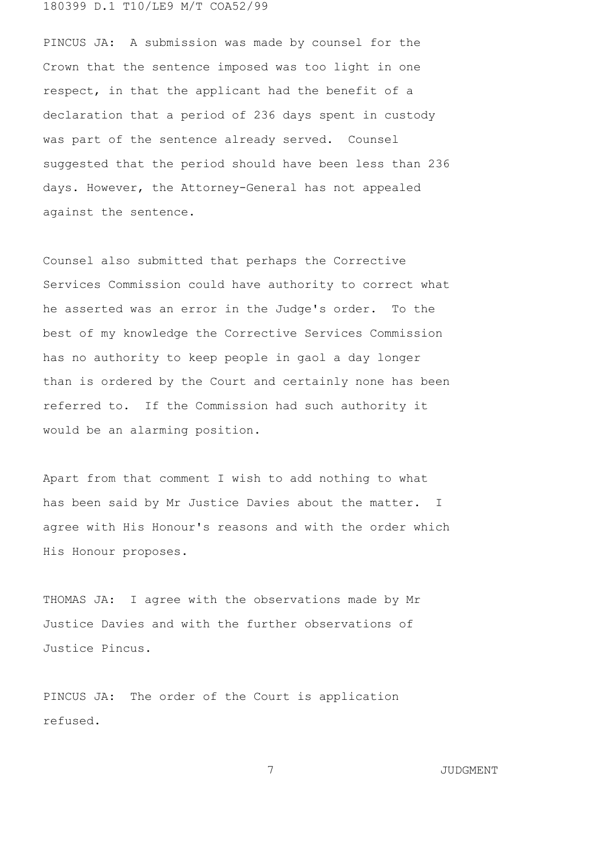PINCUS JA: A submission was made by counsel for the Crown that the sentence imposed was too light in one respect, in that the applicant had the benefit of a declaration that a period of 236 days spent in custody was part of the sentence already served. Counsel suggested that the period should have been less than 236 days. However, the Attorney-General has not appealed against the sentence.

Counsel also submitted that perhaps the Corrective Services Commission could have authority to correct what he asserted was an error in the Judge's order. To the best of my knowledge the Corrective Services Commission has no authority to keep people in gaol a day longer than is ordered by the Court and certainly none has been referred to. If the Commission had such authority it would be an alarming position.

Apart from that comment I wish to add nothing to what has been said by Mr Justice Davies about the matter. I agree with His Honour's reasons and with the order which His Honour proposes.

THOMAS JA: I agree with the observations made by Mr Justice Davies and with the further observations of Justice Pincus.

PINCUS JA: The order of the Court is application refused.